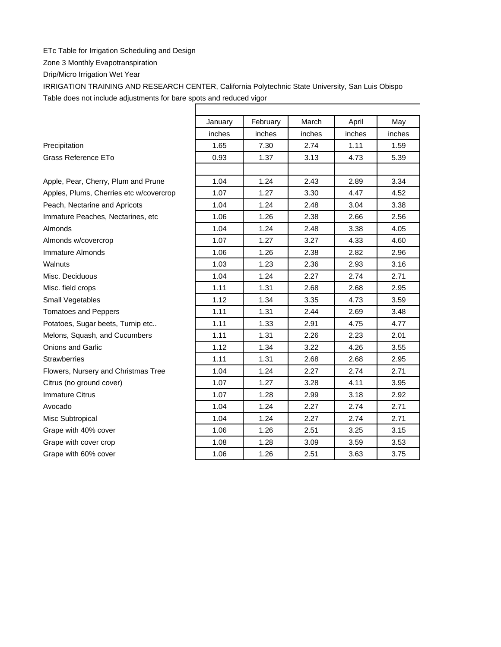## ETc Table for Irrigation Scheduling and Design

Zone 3 Monthly Evapotranspiration

Drip/Micro Irrigation Wet Year

IRRIGATION TRAINING AND RESEARCH CENTER, California Polytechnic State University, San Luis Obispo Table does not include adjustments for bare spots and reduced vigor

|                                         | January | February | March  | April  | May    |
|-----------------------------------------|---------|----------|--------|--------|--------|
|                                         | inches  | inches   | inches | inches | inches |
| Precipitation                           | 1.65    | 7.30     | 2.74   | 1.11   | 1.59   |
| Grass Reference ETo                     | 0.93    | 1.37     | 3.13   | 4.73   | 5.39   |
|                                         |         |          |        |        |        |
| Apple, Pear, Cherry, Plum and Prune     | 1.04    | 1.24     | 2.43   | 2.89   | 3.34   |
| Apples, Plums, Cherries etc w/covercrop | 1.07    | 1.27     | 3.30   | 4.47   | 4.52   |
| Peach, Nectarine and Apricots           | 1.04    | 1.24     | 2.48   | 3.04   | 3.38   |
| Immature Peaches, Nectarines, etc.      | 1.06    | 1.26     | 2.38   | 2.66   | 2.56   |
| Almonds                                 | 1.04    | 1.24     | 2.48   | 3.38   | 4.05   |
| Almonds w/covercrop                     | 1.07    | 1.27     | 3.27   | 4.33   | 4.60   |
| Immature Almonds                        | 1.06    | 1.26     | 2.38   | 2.82   | 2.96   |
| Walnuts                                 | 1.03    | 1.23     | 2.36   | 2.93   | 3.16   |
| Misc. Deciduous                         | 1.04    | 1.24     | 2.27   | 2.74   | 2.71   |
| Misc. field crops                       | 1.11    | 1.31     | 2.68   | 2.68   | 2.95   |
| Small Vegetables                        | 1.12    | 1.34     | 3.35   | 4.73   | 3.59   |
| <b>Tomatoes and Peppers</b>             | 1.11    | 1.31     | 2.44   | 2.69   | 3.48   |
| Potatoes, Sugar beets, Turnip etc       | 1.11    | 1.33     | 2.91   | 4.75   | 4.77   |
| Melons, Squash, and Cucumbers           | 1.11    | 1.31     | 2.26   | 2.23   | 2.01   |
| <b>Onions and Garlic</b>                | 1.12    | 1.34     | 3.22   | 4.26   | 3.55   |
| <b>Strawberries</b>                     | 1.11    | 1.31     | 2.68   | 2.68   | 2.95   |
| Flowers, Nursery and Christmas Tree     | 1.04    | 1.24     | 2.27   | 2.74   | 2.71   |
| Citrus (no ground cover)                | 1.07    | 1.27     | 3.28   | 4.11   | 3.95   |
| <b>Immature Citrus</b>                  | 1.07    | 1.28     | 2.99   | 3.18   | 2.92   |
| Avocado                                 | 1.04    | 1.24     | 2.27   | 2.74   | 2.71   |
| Misc Subtropical                        | 1.04    | 1.24     | 2.27   | 2.74   | 2.71   |
| Grape with 40% cover                    | 1.06    | 1.26     | 2.51   | 3.25   | 3.15   |
| Grape with cover crop                   | 1.08    | 1.28     | 3.09   | 3.59   | 3.53   |
| Grape with 60% cover                    | 1.06    | 1.26     | 2.51   | 3.63   | 3.75   |